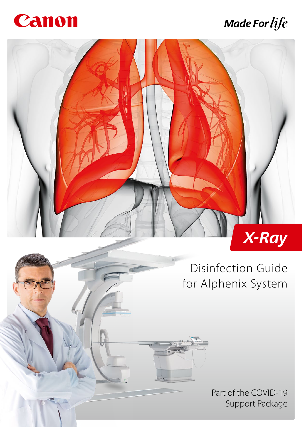

# **Made For life**



Disinfection Guide for Alphenix System

> Part of the COVID-19 Support Package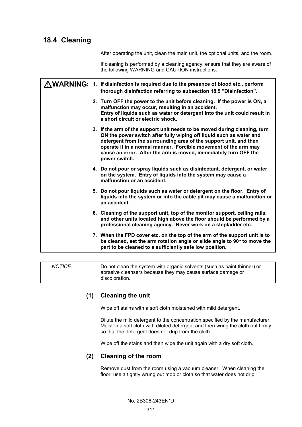# **18.4 Cleaning**

After operating the unit, clean the main unit, the optional units, and the room.

If cleaning is performed by a cleaning agency, ensure that they are aware of the following WARNING and CAUTION instructions.

|  | $\bigwedge \mathsf{WARMING}\colon$ 1. If disinfection is required due to the presence of blood etc., perform<br>thorough disinfection referring to subsection 18.5 "Disinfection".                                                                                                                                                                                            |
|--|-------------------------------------------------------------------------------------------------------------------------------------------------------------------------------------------------------------------------------------------------------------------------------------------------------------------------------------------------------------------------------|
|  | 2. Turn OFF the power to the unit before cleaning. If the power is ON, a<br>malfunction may occur, resulting in an accident.<br>Entry of liquids such as water or detergent into the unit could result in<br>a short circuit or electric shock.                                                                                                                               |
|  | 3. If the arm of the support unit needs to be moved during cleaning, turn<br>ON the power switch after fully wiping off liquid such as water and<br>detergent from the surrounding area of the support unit, and then<br>operate it in a normal manner. Forcible movement of the arm may<br>cause an error. After the arm is moved, immediately turn OFF the<br>power switch. |
|  | 4. Do not pour or spray liquids such as disinfectant, detergent, or water<br>on the system. Entry of liquids into the system may cause a<br>malfunction or an accident.                                                                                                                                                                                                       |
|  | 5. Do not pour liquids such as water or detergent on the floor. Entry of<br>liquids into the system or into the cable pit may cause a malfunction or<br>an accident.                                                                                                                                                                                                          |
|  | 6. Cleaning of the support unit, top of the monitor support, ceiling rails,<br>and other units located high above the floor should be performed by a<br>professional cleaning agency. Never work on a stepladder etc.                                                                                                                                                         |
|  | 7. When the FPD cover etc. on the top of the arm of the support unit is to<br>be cleaned, set the arm rotation angle or slide angle to 90° to move the<br>part to be cleaned to a sufficiently safe low position.                                                                                                                                                             |

*NOTICE:* Do not clean the system with organic solvents (such as paint thinner) or abrasive cleansers because they may cause surface damage or discoloration.

### **(1) Cleaning the unit**

Wipe off stains with a soft cloth moistened with mild detergent.

Dilute the mild detergent to the concentration specified by the manufacturer. Moisten a soft cloth with diluted detergent and then wring the cloth out firmly so that the detergent does not drip from the cloth.

Wipe off the stains and then wipe the unit again with a dry soft cloth.

#### **(2) Cleaning of the room**

Remove dust from the room using a vacuum cleaner. When cleaning the floor, use a tightly wrung out mop or cloth so that water does not drip.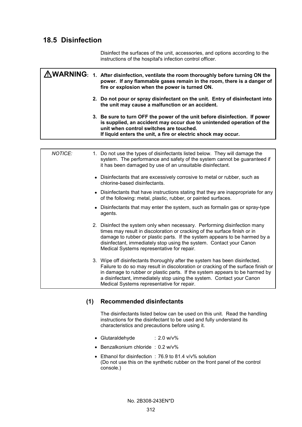# **18.5 Disinfection**

Disinfect the surfaces of the unit, accessories, and options according to the instructions of the hospital's infection control officer.

|  | AWARNING: 1. After disinfection, ventilate the room thoroughly before turning ON the<br>power. If any flammable gases remain in the room, there is a danger of<br>fire or explosion when the power is turned ON.                                                 |
|--|------------------------------------------------------------------------------------------------------------------------------------------------------------------------------------------------------------------------------------------------------------------|
|  | 2. Do not pour or spray disinfectant on the unit. Entry of disinfectant into<br>the unit may cause a malfunction or an accident.                                                                                                                                 |
|  | 3. Be sure to turn OFF the power of the unit before disinfection. If power<br>is supplied, an accident may occur due to unintended operation of the<br>unit when control switches are touched.<br>If liquid enters the unit, a fire or electric shock may occur. |

| NOTICE: | 1. Do not use the types of disinfectants listed below. They will damage the<br>system. The performance and safety of the system cannot be guaranteed if<br>it has been damaged by use of an unsuitable disinfectant.                                                                                                                                                   |
|---------|------------------------------------------------------------------------------------------------------------------------------------------------------------------------------------------------------------------------------------------------------------------------------------------------------------------------------------------------------------------------|
|         | • Disinfectants that are excessively corrosive to metal or rubber, such as<br>chlorine-based disinfectants.                                                                                                                                                                                                                                                            |
|         | • Disinfectants that have instructions stating that they are inappropriate for any<br>of the following: metal, plastic, rubber, or painted surfaces.                                                                                                                                                                                                                   |
|         | • Disinfectants that may enter the system, such as formalin gas or spray-type<br>agents.                                                                                                                                                                                                                                                                               |
|         | 2. Disinfect the system only when necessary. Performing disinfection many<br>times may result in discoloration or cracking of the surface finish or in<br>damage to rubber or plastic parts. If the system appears to be harmed by a<br>disinfectant, immediately stop using the system. Contact your Canon<br>Medical Systems representative for repair.              |
|         | 3. Wipe off disinfectants thoroughly after the system has been disinfected.<br>Failure to do so may result in discoloration or cracking of the surface finish or<br>in damage to rubber or plastic parts. If the system appears to be harmed by<br>a disinfectant, immediately stop using the system. Contact your Canon<br>Medical Systems representative for repair. |

# **(1) Recommended disinfectants**

The disinfectants listed below can be used on this unit. Read the handling instructions for the disinfectant to be used and fully understand its characteristics and precautions before using it.

- Glutaraldehyde : 2.0 w/v%
- Benzalkonium chloride : 0.2 w/v%
- Ethanol for disinfection : 76.9 to 81.4 v/v% solution (Do not use this on the synthetic rubber on the front panel of the control console.)